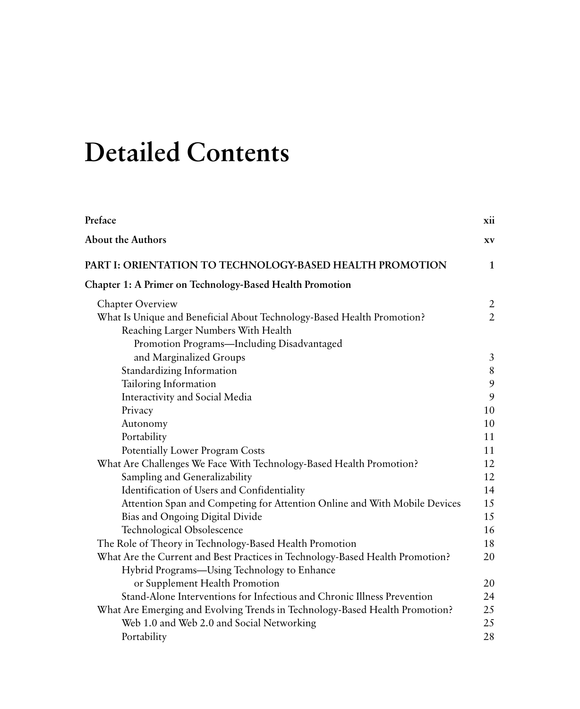## **Detailed Contents**

| Preface                                                                       | xii            |
|-------------------------------------------------------------------------------|----------------|
| <b>About the Authors</b>                                                      | XV             |
| PART I: ORIENTATION TO TECHNOLOGY-BASED HEALTH PROMOTION                      | 1              |
| <b>Chapter 1: A Primer on Technology-Based Health Promotion</b>               |                |
| Chapter Overview                                                              | $\overline{2}$ |
| What Is Unique and Beneficial About Technology-Based Health Promotion?        | $\overline{2}$ |
| Reaching Larger Numbers With Health                                           |                |
| Promotion Programs-Including Disadvantaged                                    |                |
| and Marginalized Groups                                                       | 3              |
| Standardizing Information                                                     | $\,8\,$        |
| Tailoring Information                                                         | 9              |
| Interactivity and Social Media                                                | 9              |
| Privacy                                                                       | 10             |
| Autonomy                                                                      | 10             |
| Portability                                                                   | 11             |
| Potentially Lower Program Costs                                               | 11             |
| What Are Challenges We Face With Technology-Based Health Promotion?           | 12             |
| Sampling and Generalizability                                                 | 12             |
| Identification of Users and Confidentiality                                   | 14             |
| Attention Span and Competing for Attention Online and With Mobile Devices     | 15             |
| Bias and Ongoing Digital Divide                                               | 15             |
| Technological Obsolescence                                                    | 16             |
| The Role of Theory in Technology-Based Health Promotion                       | 18             |
| What Are the Current and Best Practices in Technology-Based Health Promotion? | 20             |
| Hybrid Programs-Using Technology to Enhance                                   |                |
| or Supplement Health Promotion                                                | 20             |
| Stand-Alone Interventions for Infectious and Chronic Illness Prevention       | 24             |
| What Are Emerging and Evolving Trends in Technology-Based Health Promotion?   | 25             |
| Web 1.0 and Web 2.0 and Social Networking                                     | 25             |
| Portability                                                                   | 28             |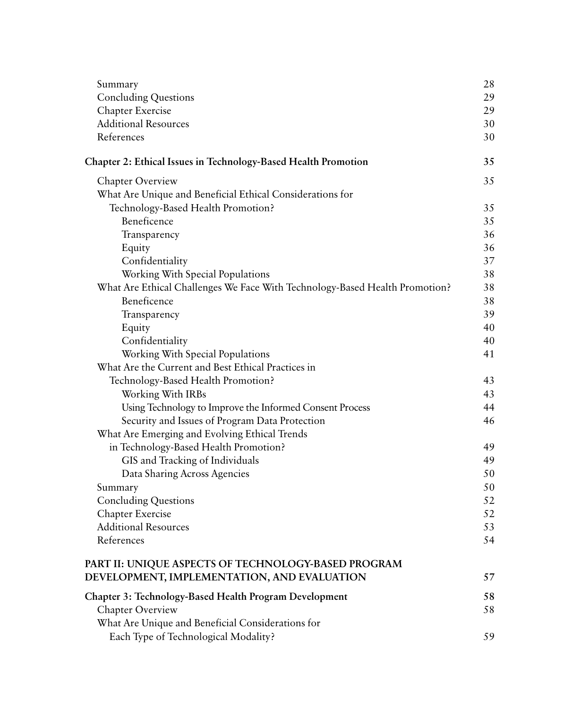| Summary                                                                     | 28 |
|-----------------------------------------------------------------------------|----|
| <b>Concluding Questions</b>                                                 | 29 |
| Chapter Exercise                                                            | 29 |
| <b>Additional Resources</b>                                                 | 30 |
| References                                                                  | 30 |
| Chapter 2: Ethical Issues in Technology-Based Health Promotion              | 35 |
| <b>Chapter Overview</b>                                                     | 35 |
| What Are Unique and Beneficial Ethical Considerations for                   |    |
| Technology-Based Health Promotion?                                          | 35 |
| Beneficence                                                                 | 35 |
| Transparency                                                                | 36 |
| Equity                                                                      | 36 |
| Confidentiality                                                             | 37 |
| Working With Special Populations                                            | 38 |
| What Are Ethical Challenges We Face With Technology-Based Health Promotion? | 38 |
| Beneficence                                                                 | 38 |
| Transparency                                                                | 39 |
| Equity                                                                      | 40 |
| Confidentiality                                                             | 40 |
| Working With Special Populations                                            | 41 |
| What Are the Current and Best Ethical Practices in                          |    |
| Technology-Based Health Promotion?                                          | 43 |
| Working With IRBs                                                           | 43 |
| Using Technology to Improve the Informed Consent Process                    | 44 |
| Security and Issues of Program Data Protection                              | 46 |
| What Are Emerging and Evolving Ethical Trends                               |    |
| in Technology-Based Health Promotion?                                       | 49 |
| GIS and Tracking of Individuals                                             | 49 |
| Data Sharing Across Agencies                                                | 50 |
| Summary                                                                     | 50 |
| <b>Concluding Questions</b>                                                 | 52 |
| Chapter Exercise                                                            | 52 |
| <b>Additional Resources</b>                                                 | 53 |
| References                                                                  | 54 |
| PART II: UNIQUE ASPECTS OF TECHNOLOGY-BASED PROGRAM                         |    |
| DEVELOPMENT, IMPLEMENTATION, AND EVALUATION                                 | 57 |
| Chapter 3: Technology-Based Health Program Development                      | 58 |
| Chapter Overview                                                            | 58 |
| What Are Unique and Beneficial Considerations for                           |    |
| Each Type of Technological Modality?                                        | 59 |
|                                                                             |    |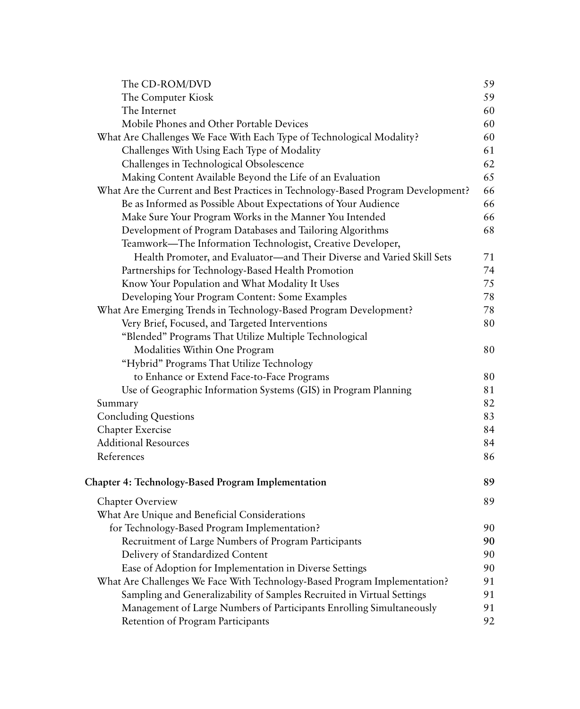| The CD-ROM/DVD                                                                   | 59 |
|----------------------------------------------------------------------------------|----|
| The Computer Kiosk                                                               | 59 |
| The Internet                                                                     | 60 |
| Mobile Phones and Other Portable Devices                                         | 60 |
| What Are Challenges We Face With Each Type of Technological Modality?            | 60 |
| Challenges With Using Each Type of Modality                                      | 61 |
| Challenges in Technological Obsolescence                                         | 62 |
| Making Content Available Beyond the Life of an Evaluation                        | 65 |
| What Are the Current and Best Practices in Technology-Based Program Development? | 66 |
| Be as Informed as Possible About Expectations of Your Audience                   | 66 |
| Make Sure Your Program Works in the Manner You Intended                          | 66 |
| Development of Program Databases and Tailoring Algorithms                        | 68 |
| Teamwork-The Information Technologist, Creative Developer,                       |    |
| Health Promoter, and Evaluator—and Their Diverse and Varied Skill Sets           | 71 |
| Partnerships for Technology-Based Health Promotion                               | 74 |
| Know Your Population and What Modality It Uses                                   | 75 |
| Developing Your Program Content: Some Examples                                   | 78 |
| What Are Emerging Trends in Technology-Based Program Development?                | 78 |
| Very Brief, Focused, and Targeted Interventions                                  | 80 |
| "Blended" Programs That Utilize Multiple Technological                           |    |
| Modalities Within One Program                                                    | 80 |
| "Hybrid" Programs That Utilize Technology                                        |    |
| to Enhance or Extend Face-to-Face Programs                                       | 80 |
| Use of Geographic Information Systems (GIS) in Program Planning                  | 81 |
| Summary                                                                          | 82 |
| <b>Concluding Questions</b>                                                      | 83 |
| Chapter Exercise                                                                 | 84 |
| <b>Additional Resources</b>                                                      | 84 |
| References                                                                       | 86 |
| <b>Chapter 4: Technology-Based Program Implementation</b>                        | 89 |
| Chapter Overview                                                                 | 89 |
| What Are Unique and Beneficial Considerations                                    |    |
| for Technology-Based Program Implementation?                                     | 90 |
| Recruitment of Large Numbers of Program Participants                             | 90 |
| Delivery of Standardized Content                                                 | 90 |
| Ease of Adoption for Implementation in Diverse Settings                          | 90 |
| What Are Challenges We Face With Technology-Based Program Implementation?        | 91 |
| Sampling and Generalizability of Samples Recruited in Virtual Settings           | 91 |
| Management of Large Numbers of Participants Enrolling Simultaneously             | 91 |
| Retention of Program Participants                                                | 92 |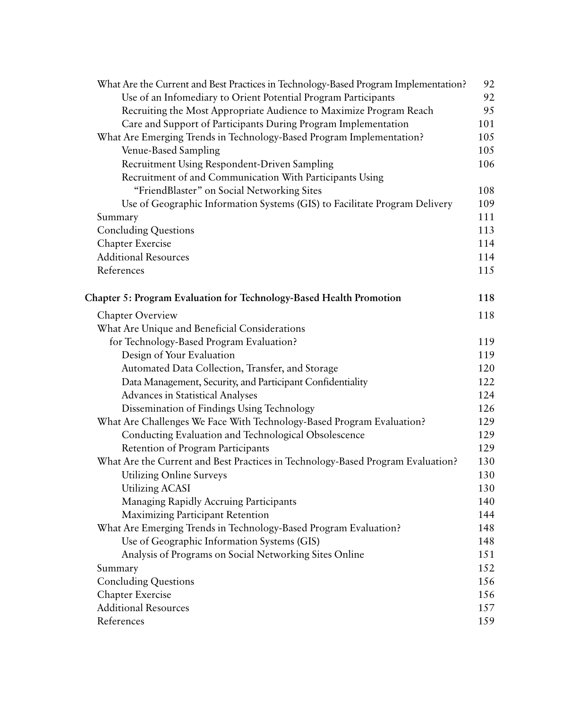| What Are the Current and Best Practices in Technology-Based Program Implementation? | 92  |
|-------------------------------------------------------------------------------------|-----|
| Use of an Infomediary to Orient Potential Program Participants                      | 92  |
| Recruiting the Most Appropriate Audience to Maximize Program Reach                  | 95  |
| Care and Support of Participants During Program Implementation                      | 101 |
| What Are Emerging Trends in Technology-Based Program Implementation?                | 105 |
| Venue-Based Sampling                                                                | 105 |
| Recruitment Using Respondent-Driven Sampling                                        | 106 |
| Recruitment of and Communication With Participants Using                            |     |
| "FriendBlaster" on Social Networking Sites                                          | 108 |
| Use of Geographic Information Systems (GIS) to Facilitate Program Delivery          | 109 |
| Summary                                                                             | 111 |
| <b>Concluding Questions</b>                                                         | 113 |
| <b>Chapter Exercise</b>                                                             | 114 |
| <b>Additional Resources</b>                                                         | 114 |
| References                                                                          | 115 |
| <b>Chapter 5: Program Evaluation for Technology-Based Health Promotion</b>          | 118 |
| Chapter Overview                                                                    | 118 |
| What Are Unique and Beneficial Considerations                                       |     |
| for Technology-Based Program Evaluation?                                            | 119 |
| Design of Your Evaluation                                                           | 119 |
| Automated Data Collection, Transfer, and Storage                                    | 120 |
| Data Management, Security, and Participant Confidentiality                          | 122 |
| Advances in Statistical Analyses                                                    | 124 |
| Dissemination of Findings Using Technology                                          | 126 |
| What Are Challenges We Face With Technology-Based Program Evaluation?               | 129 |
| Conducting Evaluation and Technological Obsolescence                                | 129 |
| Retention of Program Participants                                                   | 129 |
| What Are the Current and Best Practices in Technology-Based Program Evaluation?     | 130 |
| Utilizing Online Surveys                                                            | 130 |
| <b>Utilizing ACASI</b>                                                              | 130 |
| Managing Rapidly Accruing Participants                                              | 140 |
| Maximizing Participant Retention                                                    | 144 |
| What Are Emerging Trends in Technology-Based Program Evaluation?                    | 148 |
| Use of Geographic Information Systems (GIS)                                         | 148 |
| Analysis of Programs on Social Networking Sites Online                              | 151 |
| Summary                                                                             | 152 |
| <b>Concluding Questions</b>                                                         | 156 |
| Chapter Exercise                                                                    | 156 |
| <b>Additional Resources</b>                                                         | 157 |
| References                                                                          | 159 |
|                                                                                     |     |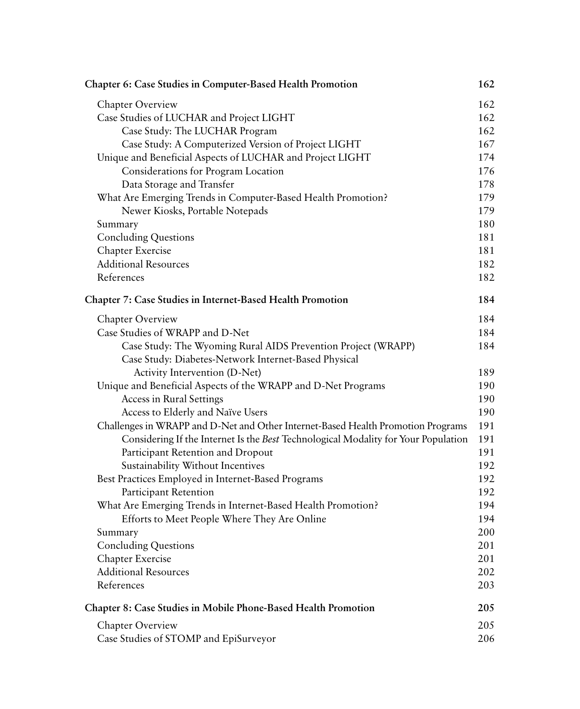| <b>Chapter 6: Case Studies in Computer-Based Health Promotion</b>                                                     | 162 |
|-----------------------------------------------------------------------------------------------------------------------|-----|
| Chapter Overview                                                                                                      | 162 |
| Case Studies of LUCHAR and Project LIGHT                                                                              | 162 |
| Case Study: The LUCHAR Program                                                                                        | 162 |
| Case Study: A Computerized Version of Project LIGHT                                                                   | 167 |
| Unique and Beneficial Aspects of LUCHAR and Project LIGHT                                                             | 174 |
| Considerations for Program Location                                                                                   | 176 |
| Data Storage and Transfer                                                                                             | 178 |
| What Are Emerging Trends in Computer-Based Health Promotion?                                                          | 179 |
| Newer Kiosks, Portable Notepads                                                                                       | 179 |
| Summary                                                                                                               | 180 |
| <b>Concluding Questions</b>                                                                                           | 181 |
| Chapter Exercise                                                                                                      | 181 |
| <b>Additional Resources</b>                                                                                           | 182 |
| References                                                                                                            | 182 |
| <b>Chapter 7: Case Studies in Internet-Based Health Promotion</b>                                                     | 184 |
| Chapter Overview                                                                                                      | 184 |
| Case Studies of WRAPP and D-Net                                                                                       | 184 |
| Case Study: The Wyoming Rural AIDS Prevention Project (WRAPP)<br>Case Study: Diabetes-Network Internet-Based Physical | 184 |
| Activity Intervention (D-Net)                                                                                         | 189 |
| Unique and Beneficial Aspects of the WRAPP and D-Net Programs                                                         | 190 |
| Access in Rural Settings                                                                                              | 190 |
| Access to Elderly and Naïve Users                                                                                     | 190 |
| Challenges in WRAPP and D-Net and Other Internet-Based Health Promotion Programs                                      | 191 |
| Considering If the Internet Is the Best Technological Modality for Your Population                                    | 191 |
| Participant Retention and Dropout                                                                                     | 191 |
| Sustainability Without Incentives                                                                                     | 192 |
| Best Practices Employed in Internet-Based Programs                                                                    | 192 |
| Participant Retention                                                                                                 | 192 |
| What Are Emerging Trends in Internet-Based Health Promotion?                                                          | 194 |
| Efforts to Meet People Where They Are Online                                                                          | 194 |
| Summary                                                                                                               | 200 |
| <b>Concluding Questions</b>                                                                                           | 201 |
| Chapter Exercise                                                                                                      | 201 |
| <b>Additional Resources</b>                                                                                           | 202 |
| References                                                                                                            | 203 |
| <b>Chapter 8: Case Studies in Mobile Phone-Based Health Promotion</b>                                                 | 205 |
| <b>Chapter Overview</b>                                                                                               | 205 |
| Case Studies of STOMP and EpiSurveyor                                                                                 | 206 |
|                                                                                                                       |     |